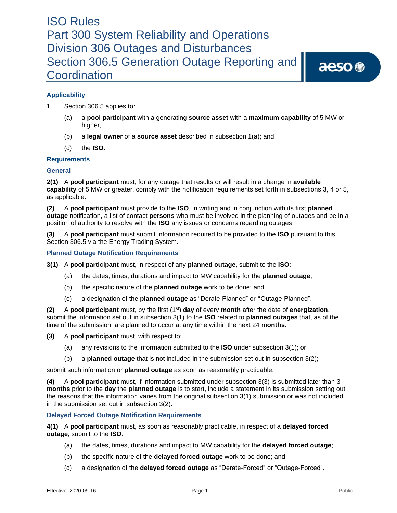aeso<sup>®</sup>

### **Applicability**

- **1** Section 306.5 applies to:
	- (a) a **pool participant** with a generating **source asset** with a **maximum capability** of 5 MW or higher;
	- (b) a **legal owner** of a **source asset** described in subsection 1(a); and
	- (c) the **ISO**.

### **Requirements**

### **General**

**2(1)** A **pool participant** must, for any outage that results or will result in a change in **available capability** of 5 MW or greater, comply with the notification requirements set forth in subsections 3, 4 or 5, as applicable.

**(2)** A **pool participant** must provide to the **ISO**, in writing and in conjunction with its first **planned outage** notification, a list of contact **persons** who must be involved in the planning of outages and be in a position of authority to resolve with the **ISO** any issues or concerns regarding outages.

**(3)** A **pool participant** must submit information required to be provided to the **ISO** pursuant to this Section 306.5 via the Energy Trading System.

### **Planned Outage Notification Requirements**

- **3(1)** A **pool participant** must, in respect of any **planned outage**, submit to the **ISO**:
	- (a) the dates, times, durations and impact to MW capability for the **planned outage**;
	- (b) the specific nature of the **planned outage** work to be done; and
	- (c) a designation of the **planned outage** as "Derate-Planned" or **"**Outage-Planned".

**(2)** A **pool participant** must, by the first (1st) **day** of every **month** after the date of **energization**, submit the information set out in subsection 3(1) to the **ISO** related to **planned outages** that, as of the time of the submission, are planned to occur at any time within the next 24 **months**.

**(3)** A **pool participant** must, with respect to:

- (a) any revisions to the information submitted to the **ISO** under subsection 3(1); or
- (b) a **planned outage** that is not included in the submission set out in subsection 3(2);

submit such information or **planned outage** as soon as reasonably practicable.

**(4)** A **pool participant** must, if information submitted under subsection 3(3) is submitted later than 3 **months** prior to the **day** the **planned outage** is to start, include a statement in its submission setting out the reasons that the information varies from the original subsection 3(1) submission or was not included in the submission set out in subsection 3(2).

### **Delayed Forced Outage Notification Requirements**

**4(1)** A **pool participant** must, as soon as reasonably practicable, in respect of a **delayed forced outage**, submit to the **ISO**:

- (a) the dates, times, durations and impact to MW capability for the **delayed forced outage**;
- (b) the specific nature of the **delayed forced outage** work to be done; and
- (c) a designation of the **delayed forced outage** as "Derate-Forced" or "Outage-Forced".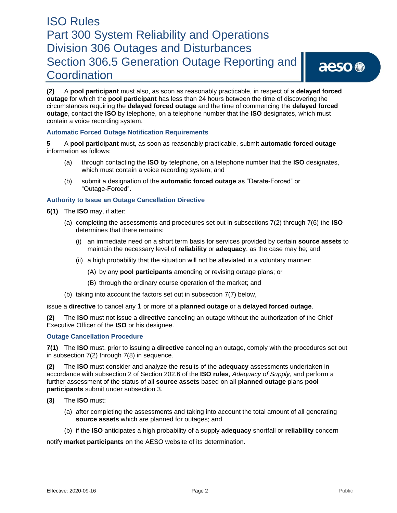**(2)** A **pool participant** must also, as soon as reasonably practicable, in respect of a **delayed forced outage** for which the **pool participant** has less than 24 hours between the time of discovering the circumstances requiring the **delayed forced outage** and the time of commencing the **delayed forced outage**, contact the **ISO** by telephone, on a telephone number that the **ISO** designates, which must contain a voice recording system.

### **Automatic Forced Outage Notification Requirements**

**5** A **pool participant** must, as soon as reasonably practicable, submit **automatic forced outage** information as follows:

- (a) through contacting the **ISO** by telephone, on a telephone number that the **ISO** designates, which must contain a voice recording system; and
- (b) submit a designation of the **automatic forced outage** as "Derate-Forced" or "Outage-Forced".

### **Authority to Issue an Outage Cancellation Directive**

- **6(1)** The **ISO** may, if after:
	- (a) completing the assessments and procedures set out in subsections 7(2) through 7(6) the **ISO**  determines that there remains:
		- (i) an immediate need on a short term basis for services provided by certain **source assets** to maintain the necessary level of **reliability** or **adequacy**, as the case may be; and
		- (ii) a high probability that the situation will not be alleviated in a voluntary manner:
			- (A) by any **pool participants** amending or revising outage plans; or
			- (B) through the ordinary course operation of the market; and
	- (b) taking into account the factors set out in subsection 7(7) below,

issue a **directive** to cancel any 1 or more of a **planned outage** or a **delayed forced outage**.

**(2)** The **ISO** must not issue a **directive** canceling an outage without the authorization of the Chief Executive Officer of the **ISO** or his designee.

### **Outage Cancellation Procedure**

**7(1)** The **ISO** must, prior to issuing a **directive** canceling an outage, comply with the procedures set out in subsection 7(2) through 7(8) in sequence.

**(2)** The **ISO** must consider and analyze the results of the **adequacy** assessments undertaken in accordance with subsection 2 of Section 202.6 of the **ISO rules**, *Adequacy of Supply*, and perform a further assessment of the status of all **source assets** based on all **planned outage** plans **pool participants** submit under subsection 3.

- **(3)** The **ISO** must:
	- (a) after completing the assessments and taking into account the total amount of all generating **source assets** which are planned for outages; and
	- (b) if the **ISO** anticipates a high probability of a supply **adequacy** shortfall or **reliability** concern

notify **market participants** on the AESO website of its determination.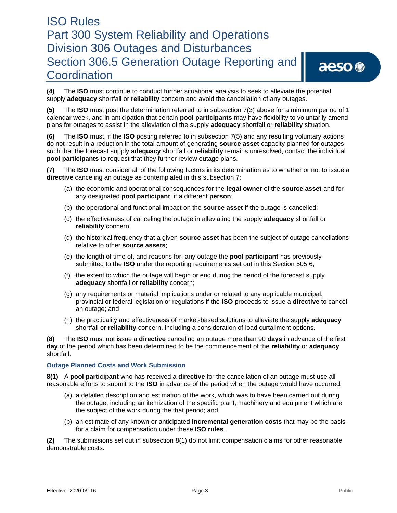aeso<sup>®</sup>

**(4)** The **ISO** must continue to conduct further situational analysis to seek to alleviate the potential supply **adequacy** shortfall or **reliability** concern and avoid the cancellation of any outages.

**(5)** The **ISO** must post the determination referred to in subsection 7(3) above for a minimum period of 1 calendar week, and in anticipation that certain **pool participants** may have flexibility to voluntarily amend plans for outages to assist in the alleviation of the supply **adequacy** shortfall or **reliability** situation.

**(6)** The **ISO** must, if the **ISO** posting referred to in subsection 7(5) and any resulting voluntary actions do not result in a reduction in the total amount of generating **source asset** capacity planned for outages such that the forecast supply **adequacy** shortfall or **reliability** remains unresolved, contact the individual **pool participants** to request that they further review outage plans.

**(7)** The **ISO** must consider all of the following factors in its determination as to whether or not to issue a **directive** canceling an outage as contemplated in this subsection 7:

- (a) the economic and operational consequences for the **legal owner** of the **source asset** and for any designated **pool participant**, if a different **person**;
- (b) the operational and functional impact on the **source asset** if the outage is cancelled;
- (c) the effectiveness of canceling the outage in alleviating the supply **adequacy** shortfall or **reliability** concern;
- (d) the historical frequency that a given **source asset** has been the subject of outage cancellations relative to other **source assets**;
- (e) the length of time of, and reasons for, any outage the **pool participant** has previously submitted to the **ISO** under the reporting requirements set out in this Section 505.6;
- (f) the extent to which the outage will begin or end during the period of the forecast supply **adequacy** shortfall or **reliability** concern;
- (g) any requirements or material implications under or related to any applicable municipal, provincial or federal legislation or regulations if the **ISO** proceeds to issue a **directive** to cancel an outage; and
- (h) the practicality and effectiveness of market-based solutions to alleviate the supply **adequacy**  shortfall or **reliability** concern, including a consideration of load curtailment options.

**(8)** The **ISO** must not issue a **directive** canceling an outage more than 90 **days** in advance of the first **day** of the period which has been determined to be the commencement of the **reliability** or **adequacy**  shortfall.

### **Outage Planned Costs and Work Submission**

**8(1)** A **pool participant** who has received a **directive** for the cancellation of an outage must use all reasonable efforts to submit to the **ISO** in advance of the period when the outage would have occurred:

- (a) a detailed description and estimation of the work, which was to have been carried out during the outage, including an itemization of the specific plant, machinery and equipment which are the subject of the work during the that period; and
- (b) an estimate of any known or anticipated **incremental generation costs** that may be the basis for a claim for compensation under these **ISO rules**.

**(2)** The submissions set out in subsection 8(1) do not limit compensation claims for other reasonable demonstrable costs.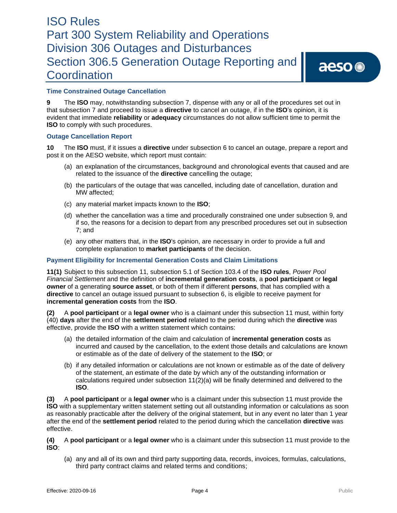### **Time Constrained Outage Cancellation**

**9** The **ISO** may, notwithstanding subsection 7, dispense with any or all of the procedures set out in that subsection 7 and proceed to issue a **directive** to cancel an outage, if in the **ISO**'s opinion, it is evident that immediate **reliability** or **adequacy** circumstances do not allow sufficient time to permit the **ISO** to comply with such procedures.

#### **Outage Cancellation Report**

**10** The **ISO** must, if it issues a **directive** under subsection 6 to cancel an outage, prepare a report and post it on the AESO website, which report must contain:

- (a) an explanation of the circumstances, background and chronological events that caused and are related to the issuance of the **directive** cancelling the outage;
- (b) the particulars of the outage that was cancelled, including date of cancellation, duration and MW affected;
- (c) any material market impacts known to the **ISO**;
- (d) whether the cancellation was a time and procedurally constrained one under subsection 9, and if so, the reasons for a decision to depart from any prescribed procedures set out in subsection 7; and
- (e) any other matters that, in the **ISO**'s opinion, are necessary in order to provide a full and complete explanation to **market participants** of the decision.

### **Payment Eligibility for Incremental Generation Costs and Claim Limitations**

**11(1)** Subject to this subsection 11, subsection 5.1 of Section 103.4 of the **ISO rules**, *Power Pool Financial Settlement* and the definition of **incremental generation costs**, a **pool participant** or **legal owner** of a generating **source asset**, or both of them if different **persons**, that has complied with a **directive** to cancel an outage issued pursuant to subsection 6, is eligible to receive payment for **incremental generation costs** from the **ISO**.

**(2)** A **pool participant** or a **legal owner** who is a claimant under this subsection 11 must, within forty (40) **days** after the end of the **settlement period** related to the period during which the **directive** was effective, provide the **ISO** with a written statement which contains:

- (a) the detailed information of the claim and calculation of **incremental generation costs** as incurred and caused by the cancellation, to the extent those details and calculations are known or estimable as of the date of delivery of the statement to the **ISO**; or
- (b) if any detailed information or calculations are not known or estimable as of the date of delivery of the statement, an estimate of the date by which any of the outstanding information or calculations required under subsection 11(2)(a) will be finally determined and delivered to the **ISO**.

**(3)** A **pool participant** or a **legal owner** who is a claimant under this subsection 11 must provide the **ISO** with a supplementary written statement setting out all outstanding information or calculations as soon as reasonably practicable after the delivery of the original statement, but in any event no later than 1 year after the end of the **settlement period** related to the period during which the cancellation **directive** was effective.

**(4)** A **pool participant** or a **legal owner** who is a claimant under this subsection 11 must provide to the **ISO**:

(a) any and all of its own and third party supporting data, records, invoices, formulas, calculations, third party contract claims and related terms and conditions;